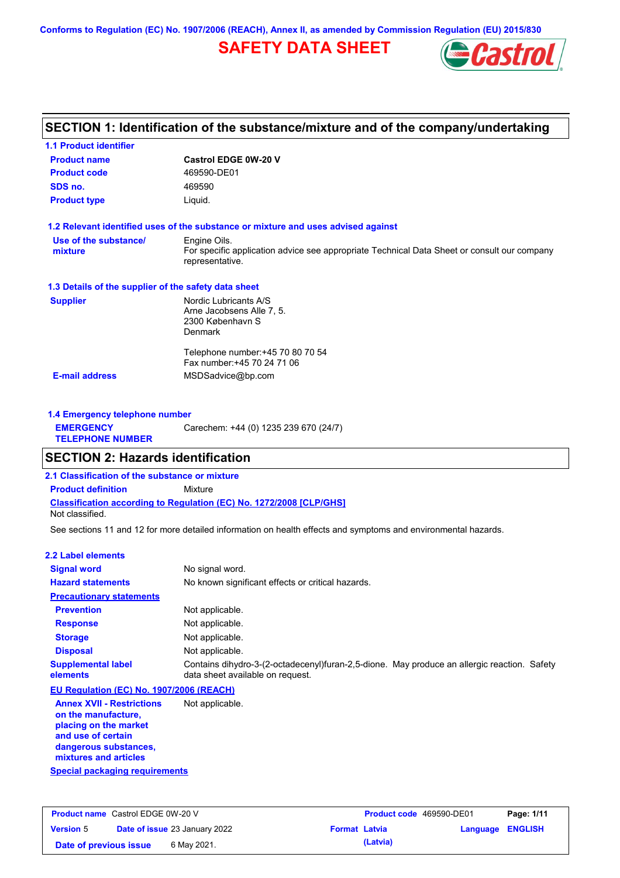**Conforms to Regulation (EC) No. 1907/2006 (REACH), Annex II, as amended by Commission Regulation (EU) 2015/830**

## **SAFETY DATA SHEET**



## **SECTION 1: Identification of the substance/mixture and of the company/undertaking**

| <b>1.1 Product identifier</b>                        |                                                                                                                |
|------------------------------------------------------|----------------------------------------------------------------------------------------------------------------|
| <b>Product name</b>                                  | <b>Castrol EDGE 0W-20 V</b>                                                                                    |
| <b>Product code</b>                                  | 469590-DE01                                                                                                    |
| SDS no.                                              | 469590                                                                                                         |
| <b>Product type</b>                                  | Liquid.                                                                                                        |
|                                                      | 1.2 Relevant identified uses of the substance or mixture and uses advised against                              |
| Use of the substance/                                | Engine Oils.                                                                                                   |
| mixture                                              | For specific application advice see appropriate Technical Data Sheet or consult our company<br>representative. |
| 1.3 Details of the supplier of the safety data sheet |                                                                                                                |
| <b>Supplier</b>                                      | Nordic Lubricants A/S                                                                                          |
|                                                      | Arne Jacobsens Alle 7, 5.                                                                                      |
|                                                      | 2300 København S<br><b>Denmark</b>                                                                             |
|                                                      |                                                                                                                |
|                                                      | Telephone number: +45 70 80 70 54                                                                              |
|                                                      | Fax number: +45 70 24 71 06                                                                                    |
| <b>E-mail address</b>                                | MSDSadvice@bp.com                                                                                              |
|                                                      |                                                                                                                |
|                                                      |                                                                                                                |

| 1.4 Emergency telephone number              |                                       |  |
|---------------------------------------------|---------------------------------------|--|
| <b>EMERGENCY</b><br><b>TELEPHONE NUMBER</b> | Carechem: +44 (0) 1235 239 670 (24/7) |  |

### **SECTION 2: Hazards identification**

**2.1 Classification of the substance or mixture**

**Classification according to Regulation (EC) No. 1272/2008 [CLP/GHS] Product definition** Mixture

Not classified.

See sections 11 and 12 for more detailed information on health effects and symptoms and environmental hazards.

### **2.2 Label elements**

| <b>Signal word</b>                                                                                                                                       | No signal word.                                                                                                                 |
|----------------------------------------------------------------------------------------------------------------------------------------------------------|---------------------------------------------------------------------------------------------------------------------------------|
| <b>Hazard statements</b>                                                                                                                                 | No known significant effects or critical hazards.                                                                               |
| <b>Precautionary statements</b>                                                                                                                          |                                                                                                                                 |
| <b>Prevention</b>                                                                                                                                        | Not applicable.                                                                                                                 |
| <b>Response</b>                                                                                                                                          | Not applicable.                                                                                                                 |
| <b>Storage</b>                                                                                                                                           | Not applicable.                                                                                                                 |
| <b>Disposal</b>                                                                                                                                          | Not applicable.                                                                                                                 |
| <b>Supplemental label</b><br>elements                                                                                                                    | Contains dihydro-3-(2-octadecenyl)furan-2,5-dione. May produce an allergic reaction. Safety<br>data sheet available on request. |
| EU Regulation (EC) No. 1907/2006 (REACH)                                                                                                                 |                                                                                                                                 |
| <b>Annex XVII - Restrictions</b><br>on the manufacture,<br>placing on the market<br>and use of certain<br>dangerous substances,<br>mixtures and articles | Not applicable.                                                                                                                 |
| Special packaging requirements                                                                                                                           |                                                                                                                                 |

**Product name** Castrol EDGE 0W-20 V **Version** 5 **Product code** 469590-DE01 **Page: 1/11 Date of issue** 23 January 2022 **Format Latvia Language ENGLISH Date of previous issue** 6 May 2021. **Cancer 6 May 2021. (Latvia)**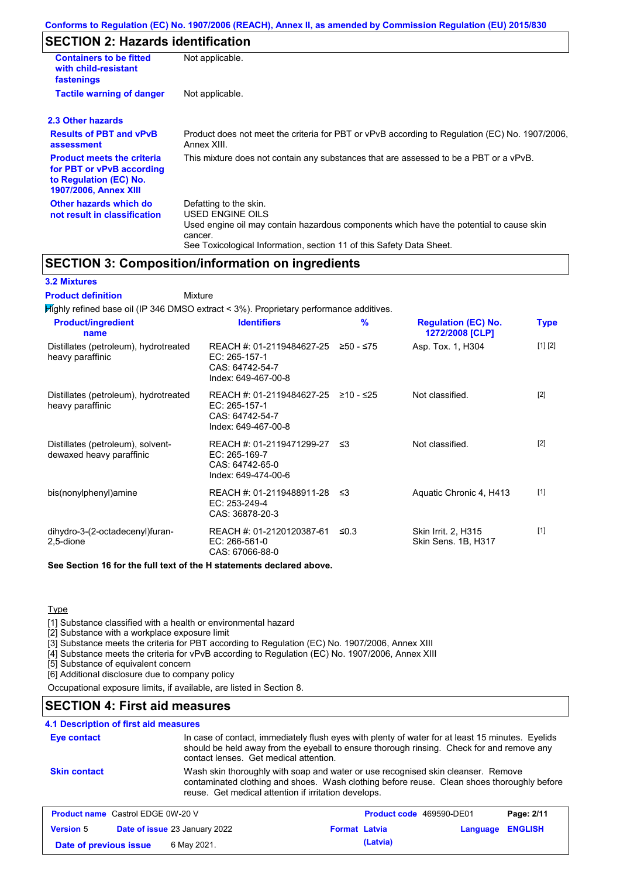## **SECTION 2: Hazards identification**

| <b>Containers to be fitted</b><br>with child-resistant<br>fastenings                                              | Not applicable.                                                                                                                                                                                                          |
|-------------------------------------------------------------------------------------------------------------------|--------------------------------------------------------------------------------------------------------------------------------------------------------------------------------------------------------------------------|
| <b>Tactile warning of danger</b>                                                                                  | Not applicable.                                                                                                                                                                                                          |
| 2.3 Other hazards                                                                                                 |                                                                                                                                                                                                                          |
| <b>Results of PBT and vPvB</b><br>assessment                                                                      | Product does not meet the criteria for PBT or vPvB according to Regulation (EC) No. 1907/2006,<br>Annex XIII.                                                                                                            |
| <b>Product meets the criteria</b><br>for PBT or vPvB according<br>to Regulation (EC) No.<br>1907/2006, Annex XIII | This mixture does not contain any substances that are assessed to be a PBT or a vPvB.                                                                                                                                    |
| Other hazards which do<br>not result in classification                                                            | Defatting to the skin.<br>USED ENGINE OILS<br>Used engine oil may contain hazardous components which have the potential to cause skin<br>cancer.<br>See Toxicological Information, section 11 of this Safety Data Sheet. |

### **SECTION 3: Composition/information on ingredients**

### **3.2 Mixtures**

Mixture **Product definition**

| <b>Product/ingredient</b><br>name                             | <b>Identifiers</b>                                                                      | %          | <b>Regulation (EC) No.</b><br>1272/2008 [CLP] | <b>Type</b> |
|---------------------------------------------------------------|-----------------------------------------------------------------------------------------|------------|-----------------------------------------------|-------------|
| Distillates (petroleum), hydrotreated<br>heavy paraffinic     | REACH #: 01-2119484627-25<br>EC: 265-157-1<br>CAS: 64742-54-7<br>Index: 649-467-00-8    | 250 - ≤75  | Asp. Tox. 1, H304                             | [1] [2]     |
| Distillates (petroleum), hydrotreated<br>heavy paraffinic     | REACH #: 01-2119484627-25<br>EC: 265-157-1<br>CAS: 64742-54-7<br>Index: 649-467-00-8    | ≥10 - ≤25  | Not classified.                               | $[2]$       |
| Distillates (petroleum), solvent-<br>dewaxed heavy paraffinic | REACH #: 01-2119471299-27 ≤3<br>EC: 265-169-7<br>CAS: 64742-65-0<br>Index: 649-474-00-6 |            | Not classified.                               | $[2]$       |
| bis(nonylphenyl)amine                                         | REACH #: 01-2119488911-28 ≤3<br>EC: 253-249-4<br>CAS: 36878-20-3                        |            | Aquatic Chronic 4, H413                       | $[1]$       |
| dihydro-3-(2-octadecenyl)furan-<br>2,5-dione                  | REACH #: 01-2120120387-61<br>EC: 266-561-0<br>CAS: 67066-88-0                           | $\leq 0.3$ | Skin Irrit. 2, H315<br>Skin Sens. 1B, H317    | $[1]$       |

**Type** 

[1] Substance classified with a health or environmental hazard

[2] Substance with a workplace exposure limit

[3] Substance meets the criteria for PBT according to Regulation (EC) No. 1907/2006, Annex XIII

[4] Substance meets the criteria for vPvB according to Regulation (EC) No. 1907/2006, Annex XIII

[5] Substance of equivalent concern

[6] Additional disclosure due to company policy

Occupational exposure limits, if available, are listed in Section 8.

### **SECTION 4: First aid measures**

### **4.1 Description of first aid measures**

| Eye contact                              | contact lenses. Get medical attention.               | In case of contact, immediately flush eyes with plenty of water for at least 15 minutes. Eyelids<br>should be held away from the eyeball to ensure thorough rinsing. Check for and remove any |              |
|------------------------------------------|------------------------------------------------------|-----------------------------------------------------------------------------------------------------------------------------------------------------------------------------------------------|--------------|
| <b>Skin contact</b>                      | reuse. Get medical attention if irritation develops. | Wash skin thoroughly with soap and water or use recognised skin cleanser. Remove<br>contaminated clothing and shoes. Wash clothing before reuse. Clean shoes thoroughly before                |              |
| <b>Product name Castrol EDGE 0W-20 V</b> |                                                      | <b>Product code</b> 469590-DE01                                                                                                                                                               | Page: $2/11$ |

| <b>Product name</b> Castrol EDGE 0W-20 V |  | Product code 469590-DE01             |                      | Page: 2/11 |                  |  |
|------------------------------------------|--|--------------------------------------|----------------------|------------|------------------|--|
| <b>Version 5</b>                         |  | <b>Date of issue 23 January 2022</b> | <b>Format Latvia</b> |            | Language ENGLISH |  |
| Date of previous issue                   |  | 6 May 2021.                          |                      | (Latvia)   |                  |  |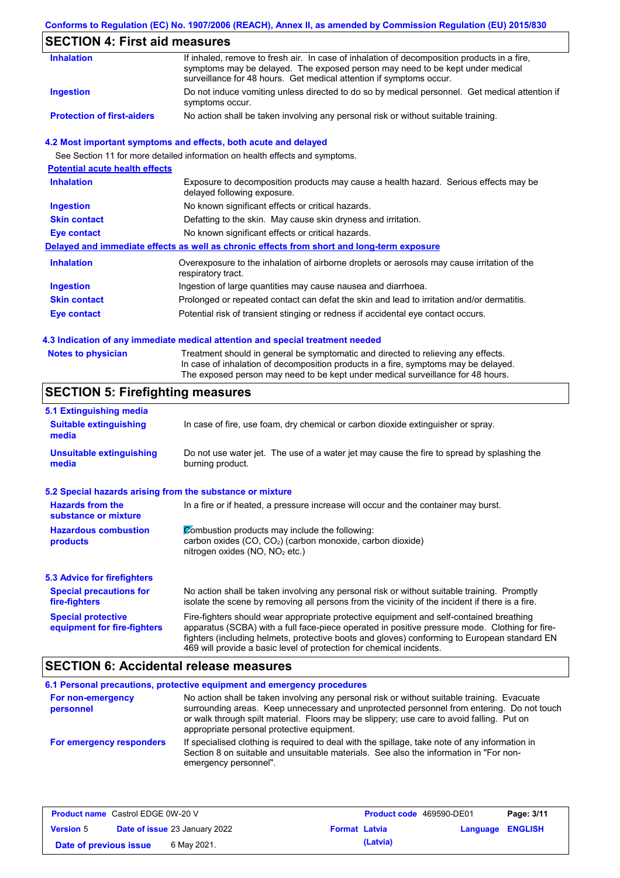### **Conforms to Regulation (EC) No. 1907/2006 (REACH), Annex II, as amended by Commission Regulation (EU) 2015/830**

## **SECTION 4: First aid measures**

| <b>Inhalation</b>                 | If inhaled, remove to fresh air. In case of inhalation of decomposition products in a fire,<br>symptoms may be delayed. The exposed person may need to be kept under medical             |
|-----------------------------------|------------------------------------------------------------------------------------------------------------------------------------------------------------------------------------------|
| Ingestion                         | surveillance for 48 hours. Get medical attention if symptoms occur.<br>Do not induce vomiting unless directed to do so by medical personnel. Get medical attention if<br>symptoms occur. |
| <b>Protection of first-aiders</b> | No action shall be taken involving any personal risk or without suitable training.                                                                                                       |

### **4.2 Most important symptoms and effects, both acute and delayed**

See Section 11 for more detailed information on health effects and symptoms.

| <b>Potential acute health effects</b> |                                                                                                                     |
|---------------------------------------|---------------------------------------------------------------------------------------------------------------------|
| <b>Inhalation</b>                     | Exposure to decomposition products may cause a health hazard. Serious effects may be<br>delayed following exposure. |
| <b>Ingestion</b>                      | No known significant effects or critical hazards.                                                                   |
| <b>Skin contact</b>                   | Defatting to the skin. May cause skin dryness and irritation.                                                       |
| Eye contact                           | No known significant effects or critical hazards.                                                                   |
|                                       | Delayed and immediate effects as well as chronic effects from short and long-term exposure                          |
| <b>Inhalation</b>                     | Overexposure to the inhalation of airborne droplets or aerosols may cause irritation of the<br>respiratory tract.   |
| <b>Ingestion</b>                      | Ingestion of large quantities may cause nausea and diarrhoea.                                                       |
| <b>Skin contact</b>                   | Prolonged or repeated contact can defat the skin and lead to irritation and/or dermatitis.                          |
| Eye contact                           | Potential risk of transient stinging or redness if accidental eye contact occurs.                                   |
|                                       |                                                                                                                     |

### **4.3 Indication of any immediate medical attention and special treatment needed**

| <b>Notes to physician</b> | Treatment should in general be symptomatic and directed to relieving any effects.   |
|---------------------------|-------------------------------------------------------------------------------------|
|                           | In case of inhalation of decomposition products in a fire, symptoms may be delayed. |
|                           | The exposed person may need to be kept under medical surveillance for 48 hours.     |

## **SECTION 5: Firefighting measures**

| 5.1 Extinguishing media                                                                                                                                    |                                                                                                                                                                                                                                                                                                                                                                   |
|------------------------------------------------------------------------------------------------------------------------------------------------------------|-------------------------------------------------------------------------------------------------------------------------------------------------------------------------------------------------------------------------------------------------------------------------------------------------------------------------------------------------------------------|
| <b>Suitable extinguishing</b><br>media                                                                                                                     | In case of fire, use foam, dry chemical or carbon dioxide extinguisher or spray.                                                                                                                                                                                                                                                                                  |
| <b>Unsuitable extinguishing</b><br>Do not use water jet. The use of a water jet may cause the fire to spread by splashing the<br>burning product.<br>media |                                                                                                                                                                                                                                                                                                                                                                   |
| 5.2 Special hazards arising from the substance or mixture                                                                                                  |                                                                                                                                                                                                                                                                                                                                                                   |
| <b>Hazards from the</b><br>substance or mixture                                                                                                            | In a fire or if heated, a pressure increase will occur and the container may burst.                                                                                                                                                                                                                                                                               |
| <b>Hazardous combustion</b><br>products                                                                                                                    | Combustion products may include the following:<br>carbon oxides (CO, CO <sub>2</sub> ) (carbon monoxide, carbon dioxide)<br>nitrogen oxides (NO, NO <sub>2</sub> etc.)                                                                                                                                                                                            |
| <b>5.3 Advice for firefighters</b>                                                                                                                         |                                                                                                                                                                                                                                                                                                                                                                   |
| <b>Special precautions for</b><br>fire-fighters                                                                                                            | No action shall be taken involving any personal risk or without suitable training. Promptly<br>isolate the scene by removing all persons from the vicinity of the incident if there is a fire.                                                                                                                                                                    |
| <b>Special protective</b><br>equipment for fire-fighters                                                                                                   | Fire-fighters should wear appropriate protective equipment and self-contained breathing<br>apparatus (SCBA) with a full face-piece operated in positive pressure mode. Clothing for fire-<br>fighters (including helmets, protective boots and gloves) conforming to European standard EN<br>469 will provide a basic level of protection for chemical incidents. |

### **SECTION 6: Accidental release measures**

|                                | 6.1 Personal precautions, protective equipment and emergency procedures                                                                                                                                                                                                                                                             |
|--------------------------------|-------------------------------------------------------------------------------------------------------------------------------------------------------------------------------------------------------------------------------------------------------------------------------------------------------------------------------------|
| For non-emergency<br>personnel | No action shall be taken involving any personal risk or without suitable training. Evacuate<br>surrounding areas. Keep unnecessary and unprotected personnel from entering. Do not touch<br>or walk through spilt material. Floors may be slippery; use care to avoid falling. Put on<br>appropriate personal protective equipment. |
| For emergency responders       | If specialised clothing is required to deal with the spillage, take note of any information in<br>Section 8 on suitable and unsuitable materials. See also the information in "For non-<br>emergency personnel".                                                                                                                    |

| <b>Product name</b> Castrol EDGE 0W-20 V |                                      |             | <b>Product code</b> 469590-DE01 |          | Page: 3/11              |  |
|------------------------------------------|--------------------------------------|-------------|---------------------------------|----------|-------------------------|--|
| <b>Version 5</b>                         | <b>Date of issue 23 January 2022</b> |             | <b>Format Latvia</b>            |          | <b>Language ENGLISH</b> |  |
| Date of previous issue                   |                                      | 6 May 2021. |                                 | (Latvia) |                         |  |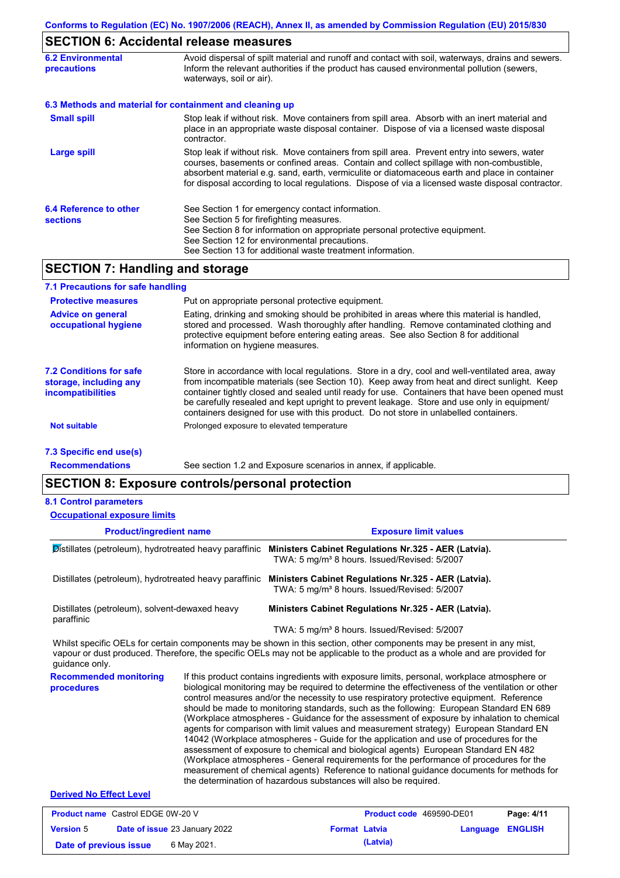## **SECTION 6: Accidental release measures**

| <b>6.2 Environmental</b><br><b>precautions</b> | Avoid dispersal of spilt material and runoff and contact with soil, waterways, drains and sewers.<br>Inform the relevant authorities if the product has caused environmental pollution (sewers,<br>waterways, soil or air).                                                                                                                                                                    |
|------------------------------------------------|------------------------------------------------------------------------------------------------------------------------------------------------------------------------------------------------------------------------------------------------------------------------------------------------------------------------------------------------------------------------------------------------|
|                                                | 6.3 Methods and material for containment and cleaning up                                                                                                                                                                                                                                                                                                                                       |
| <b>Small spill</b>                             | Stop leak if without risk. Move containers from spill area. Absorb with an inert material and<br>place in an appropriate waste disposal container. Dispose of via a licensed waste disposal<br>contractor.                                                                                                                                                                                     |
| <b>Large spill</b>                             | Stop leak if without risk. Move containers from spill area. Prevent entry into sewers, water<br>courses, basements or confined areas. Contain and collect spillage with non-combustible,<br>absorbent material e.g. sand, earth, vermiculite or diatomaceous earth and place in container<br>for disposal according to local regulations. Dispose of via a licensed waste disposal contractor. |
| 6.4 Reference to other<br><b>sections</b>      | See Section 1 for emergency contact information.<br>See Section 5 for firefighting measures.<br>See Section 8 for information on appropriate personal protective equipment.<br>See Section 12 for environmental precautions.<br>See Section 13 for additional waste treatment information.                                                                                                     |

## **SECTION 7: Handling and storage**

| 7.1 Precautions for safe handling                                             |                                                                                                                                                                                                                                                                                                                                                                                                                                                                                          |
|-------------------------------------------------------------------------------|------------------------------------------------------------------------------------------------------------------------------------------------------------------------------------------------------------------------------------------------------------------------------------------------------------------------------------------------------------------------------------------------------------------------------------------------------------------------------------------|
| <b>Protective measures</b>                                                    | Put on appropriate personal protective equipment.                                                                                                                                                                                                                                                                                                                                                                                                                                        |
| <b>Advice on general</b><br>occupational hygiene                              | Eating, drinking and smoking should be prohibited in areas where this material is handled,<br>stored and processed. Wash thoroughly after handling. Remove contaminated clothing and<br>protective equipment before entering eating areas. See also Section 8 for additional<br>information on hygiene measures.                                                                                                                                                                         |
| 7.2 Conditions for safe<br>storage, including any<br><i>incompatibilities</i> | Store in accordance with local requlations. Store in a dry, cool and well-ventilated area, away<br>from incompatible materials (see Section 10). Keep away from heat and direct sunlight. Keep<br>container tightly closed and sealed until ready for use. Containers that have been opened must<br>be carefully resealed and kept upright to prevent leakage. Store and use only in equipment/<br>containers designed for use with this product. Do not store in unlabelled containers. |
| <b>Not suitable</b>                                                           | Prolonged exposure to elevated temperature                                                                                                                                                                                                                                                                                                                                                                                                                                               |
| 7.3 Specific end use(s)                                                       |                                                                                                                                                                                                                                                                                                                                                                                                                                                                                          |
| <b>Recommendations</b>                                                        | See section 1.2 and Exposure scenarios in annex, if applicable.                                                                                                                                                                                                                                                                                                                                                                                                                          |

### **Recommendations**

### **SECTION 8: Exposure controls/personal protection**

#### **8.1 Control parameters**

| <b>Occupational exposure limits</b>                          |                                                                                                                                                                                                                                                                                                                                                                                                                                                                                                                                                                                                                                                                                                                                                                                                                                                                                                                                                                                                                            |
|--------------------------------------------------------------|----------------------------------------------------------------------------------------------------------------------------------------------------------------------------------------------------------------------------------------------------------------------------------------------------------------------------------------------------------------------------------------------------------------------------------------------------------------------------------------------------------------------------------------------------------------------------------------------------------------------------------------------------------------------------------------------------------------------------------------------------------------------------------------------------------------------------------------------------------------------------------------------------------------------------------------------------------------------------------------------------------------------------|
| <b>Product/ingredient name</b>                               | <b>Exposure limit values</b>                                                                                                                                                                                                                                                                                                                                                                                                                                                                                                                                                                                                                                                                                                                                                                                                                                                                                                                                                                                               |
| Distillates (petroleum), hydrotreated heavy paraffinic       | Ministers Cabinet Regulations Nr.325 - AER (Latvia).<br>TWA: 5 mg/m <sup>3</sup> 8 hours. Issued/Revised: 5/2007                                                                                                                                                                                                                                                                                                                                                                                                                                                                                                                                                                                                                                                                                                                                                                                                                                                                                                           |
| Distillates (petroleum), hydrotreated heavy paraffinic       | Ministers Cabinet Regulations Nr.325 - AER (Latvia).<br>TWA: 5 mg/m <sup>3</sup> 8 hours. Issued/Revised: 5/2007                                                                                                                                                                                                                                                                                                                                                                                                                                                                                                                                                                                                                                                                                                                                                                                                                                                                                                           |
| Distillates (petroleum), solvent-dewaxed heavy<br>paraffinic | Ministers Cabinet Regulations Nr.325 - AER (Latvia).                                                                                                                                                                                                                                                                                                                                                                                                                                                                                                                                                                                                                                                                                                                                                                                                                                                                                                                                                                       |
|                                                              | TWA: 5 mg/m <sup>3</sup> 8 hours. Issued/Revised: 5/2007                                                                                                                                                                                                                                                                                                                                                                                                                                                                                                                                                                                                                                                                                                                                                                                                                                                                                                                                                                   |
| guidance only.                                               | Whilst specific OELs for certain components may be shown in this section, other components may be present in any mist,<br>vapour or dust produced. Therefore, the specific OELs may not be applicable to the product as a whole and are provided for                                                                                                                                                                                                                                                                                                                                                                                                                                                                                                                                                                                                                                                                                                                                                                       |
| <b>Recommended monitoring</b><br>procedures                  | If this product contains ingredients with exposure limits, personal, workplace atmosphere or<br>biological monitoring may be required to determine the effectiveness of the ventilation or other<br>control measures and/or the necessity to use respiratory protective equipment. Reference<br>should be made to monitoring standards, such as the following: European Standard EN 689<br>(Workplace atmospheres - Guidance for the assessment of exposure by inhalation to chemical<br>agents for comparison with limit values and measurement strategy) European Standard EN<br>14042 (Workplace atmospheres - Guide for the application and use of procedures for the<br>assessment of exposure to chemical and biological agents) European Standard EN 482<br>(Workplace atmospheres - General requirements for the performance of procedures for the<br>measurement of chemical agents) Reference to national guidance documents for methods for<br>the determination of hazardous substances will also be required. |
| <b>Derived No Effect Level</b>                               |                                                                                                                                                                                                                                                                                                                                                                                                                                                                                                                                                                                                                                                                                                                                                                                                                                                                                                                                                                                                                            |

#### **Product name** Castrol EDGE 0W-20 V **Version** 5 **Product code** 469590-DE01 **Page: 4/11 Date of issue** 23 January 2022 **Format Latvia Language ENGLISH Date of previous issue** 6 May 2021. **Cancer 6 May 2021. (Latvia)**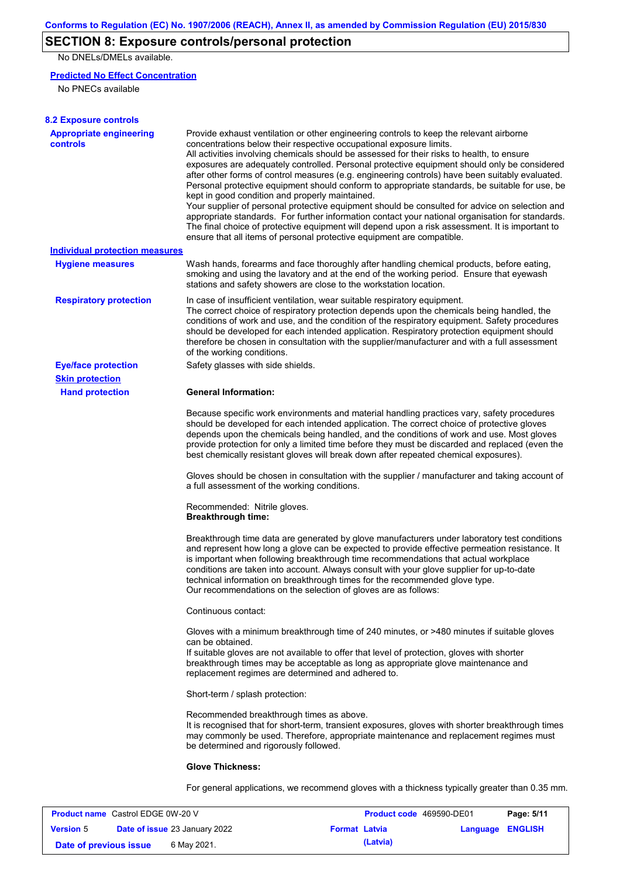## **SECTION 8: Exposure controls/personal protection**

No DNELs/DMELs available.

### **Predicted No Effect Concentration**

No PNECs available

| <b>8.2 Exposure controls</b>                         |                                                                                                                                                                                                                                                                                                                                                                                                                                                                                                                                                                                                                                                                                                                                                                                                                                                                                                                                                                                                         |
|------------------------------------------------------|---------------------------------------------------------------------------------------------------------------------------------------------------------------------------------------------------------------------------------------------------------------------------------------------------------------------------------------------------------------------------------------------------------------------------------------------------------------------------------------------------------------------------------------------------------------------------------------------------------------------------------------------------------------------------------------------------------------------------------------------------------------------------------------------------------------------------------------------------------------------------------------------------------------------------------------------------------------------------------------------------------|
| <b>Appropriate engineering</b><br>controls           | Provide exhaust ventilation or other engineering controls to keep the relevant airborne<br>concentrations below their respective occupational exposure limits.<br>All activities involving chemicals should be assessed for their risks to health, to ensure<br>exposures are adequately controlled. Personal protective equipment should only be considered<br>after other forms of control measures (e.g. engineering controls) have been suitably evaluated.<br>Personal protective equipment should conform to appropriate standards, be suitable for use, be<br>kept in good condition and properly maintained.<br>Your supplier of personal protective equipment should be consulted for advice on selection and<br>appropriate standards. For further information contact your national organisation for standards.<br>The final choice of protective equipment will depend upon a risk assessment. It is important to<br>ensure that all items of personal protective equipment are compatible. |
| <b>Individual protection measures</b>                |                                                                                                                                                                                                                                                                                                                                                                                                                                                                                                                                                                                                                                                                                                                                                                                                                                                                                                                                                                                                         |
| <b>Hygiene measures</b>                              | Wash hands, forearms and face thoroughly after handling chemical products, before eating,<br>smoking and using the lavatory and at the end of the working period. Ensure that eyewash<br>stations and safety showers are close to the workstation location.                                                                                                                                                                                                                                                                                                                                                                                                                                                                                                                                                                                                                                                                                                                                             |
| <b>Respiratory protection</b>                        | In case of insufficient ventilation, wear suitable respiratory equipment.<br>The correct choice of respiratory protection depends upon the chemicals being handled, the<br>conditions of work and use, and the condition of the respiratory equipment. Safety procedures<br>should be developed for each intended application. Respiratory protection equipment should<br>therefore be chosen in consultation with the supplier/manufacturer and with a full assessment<br>of the working conditions.                                                                                                                                                                                                                                                                                                                                                                                                                                                                                                   |
| <b>Eye/face protection</b><br><b>Skin protection</b> | Safety glasses with side shields.                                                                                                                                                                                                                                                                                                                                                                                                                                                                                                                                                                                                                                                                                                                                                                                                                                                                                                                                                                       |
| <b>Hand protection</b>                               | <b>General Information:</b>                                                                                                                                                                                                                                                                                                                                                                                                                                                                                                                                                                                                                                                                                                                                                                                                                                                                                                                                                                             |
|                                                      | Because specific work environments and material handling practices vary, safety procedures<br>should be developed for each intended application. The correct choice of protective gloves<br>depends upon the chemicals being handled, and the conditions of work and use. Most gloves<br>provide protection for only a limited time before they must be discarded and replaced (even the<br>best chemically resistant gloves will break down after repeated chemical exposures).                                                                                                                                                                                                                                                                                                                                                                                                                                                                                                                        |
|                                                      | Gloves should be chosen in consultation with the supplier / manufacturer and taking account of<br>a full assessment of the working conditions.                                                                                                                                                                                                                                                                                                                                                                                                                                                                                                                                                                                                                                                                                                                                                                                                                                                          |
|                                                      | Recommended: Nitrile gloves.<br><b>Breakthrough time:</b>                                                                                                                                                                                                                                                                                                                                                                                                                                                                                                                                                                                                                                                                                                                                                                                                                                                                                                                                               |
|                                                      | Breakthrough time data are generated by glove manufacturers under laboratory test conditions<br>and represent how long a glove can be expected to provide effective permeation resistance. It<br>is important when following breakthrough time recommendations that actual workplace<br>conditions are taken into account. Always consult with your glove supplier for up-to-date<br>technical information on breakthrough times for the recommended glove type.<br>Our recommendations on the selection of gloves are as follows:                                                                                                                                                                                                                                                                                                                                                                                                                                                                      |
|                                                      | Continuous contact:                                                                                                                                                                                                                                                                                                                                                                                                                                                                                                                                                                                                                                                                                                                                                                                                                                                                                                                                                                                     |
|                                                      | Gloves with a minimum breakthrough time of 240 minutes, or >480 minutes if suitable gloves<br>can be obtained.<br>If suitable gloves are not available to offer that level of protection, gloves with shorter<br>breakthrough times may be acceptable as long as appropriate glove maintenance and<br>replacement regimes are determined and adhered to.                                                                                                                                                                                                                                                                                                                                                                                                                                                                                                                                                                                                                                                |
|                                                      | Short-term / splash protection:                                                                                                                                                                                                                                                                                                                                                                                                                                                                                                                                                                                                                                                                                                                                                                                                                                                                                                                                                                         |
|                                                      | Recommended breakthrough times as above.<br>It is recognised that for short-term, transient exposures, gloves with shorter breakthrough times<br>may commonly be used. Therefore, appropriate maintenance and replacement regimes must<br>be determined and rigorously followed.                                                                                                                                                                                                                                                                                                                                                                                                                                                                                                                                                                                                                                                                                                                        |
|                                                      | <b>Glove Thickness:</b>                                                                                                                                                                                                                                                                                                                                                                                                                                                                                                                                                                                                                                                                                                                                                                                                                                                                                                                                                                                 |
|                                                      | For general applications, we recommend gloves with a thickness typically greater than 0.35 mm.                                                                                                                                                                                                                                                                                                                                                                                                                                                                                                                                                                                                                                                                                                                                                                                                                                                                                                          |

| <b>Product name</b> Castrol EDGE 0W-20 V |  |                                      | <b>Product code</b> 469590-DE01 | Page: 5/11 |                         |  |
|------------------------------------------|--|--------------------------------------|---------------------------------|------------|-------------------------|--|
| <b>Version 5</b>                         |  | <b>Date of issue 23 January 2022</b> | <b>Format Latvia</b>            |            | <b>Language ENGLISH</b> |  |
| Date of previous issue                   |  | 6 May 2021.                          |                                 | (Latvia)   |                         |  |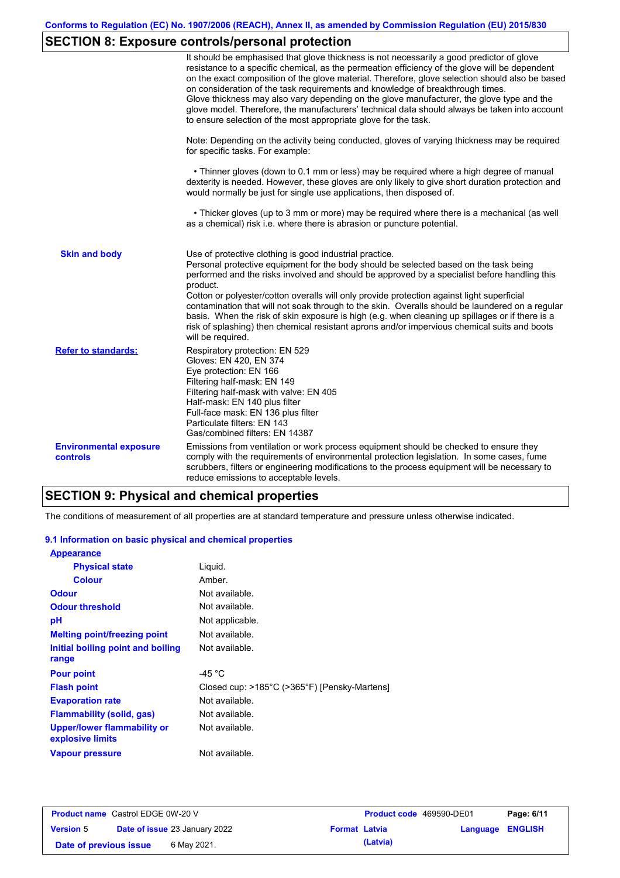## **SECTION 8: Exposure controls/personal protection**

|                                           | It should be emphasised that glove thickness is not necessarily a good predictor of glove<br>resistance to a specific chemical, as the permeation efficiency of the glove will be dependent<br>on the exact composition of the glove material. Therefore, glove selection should also be based<br>on consideration of the task requirements and knowledge of breakthrough times.<br>Glove thickness may also vary depending on the glove manufacturer, the glove type and the<br>glove model. Therefore, the manufacturers' technical data should always be taken into account<br>to ensure selection of the most appropriate glove for the task.                                     |
|-------------------------------------------|---------------------------------------------------------------------------------------------------------------------------------------------------------------------------------------------------------------------------------------------------------------------------------------------------------------------------------------------------------------------------------------------------------------------------------------------------------------------------------------------------------------------------------------------------------------------------------------------------------------------------------------------------------------------------------------|
|                                           | Note: Depending on the activity being conducted, gloves of varying thickness may be required<br>for specific tasks. For example:                                                                                                                                                                                                                                                                                                                                                                                                                                                                                                                                                      |
|                                           | • Thinner gloves (down to 0.1 mm or less) may be required where a high degree of manual<br>dexterity is needed. However, these gloves are only likely to give short duration protection and<br>would normally be just for single use applications, then disposed of.                                                                                                                                                                                                                                                                                                                                                                                                                  |
|                                           | • Thicker gloves (up to 3 mm or more) may be required where there is a mechanical (as well<br>as a chemical) risk i.e. where there is abrasion or puncture potential.                                                                                                                                                                                                                                                                                                                                                                                                                                                                                                                 |
| <b>Skin and body</b>                      | Use of protective clothing is good industrial practice.<br>Personal protective equipment for the body should be selected based on the task being<br>performed and the risks involved and should be approved by a specialist before handling this<br>product.<br>Cotton or polyester/cotton overalls will only provide protection against light superficial<br>contamination that will not soak through to the skin. Overalls should be laundered on a regular<br>basis. When the risk of skin exposure is high (e.g. when cleaning up spillages or if there is a<br>risk of splashing) then chemical resistant aprons and/or impervious chemical suits and boots<br>will be required. |
| <b>Refer to standards:</b>                | Respiratory protection: EN 529<br>Gloves: EN 420, EN 374<br>Eye protection: EN 166<br>Filtering half-mask: EN 149<br>Filtering half-mask with valve: EN 405<br>Half-mask: EN 140 plus filter<br>Full-face mask: EN 136 plus filter<br>Particulate filters: EN 143<br>Gas/combined filters: EN 14387                                                                                                                                                                                                                                                                                                                                                                                   |
| <b>Environmental exposure</b><br>controls | Emissions from ventilation or work process equipment should be checked to ensure they<br>comply with the requirements of environmental protection legislation. In some cases, fume<br>scrubbers, filters or engineering modifications to the process equipment will be necessary to<br>reduce emissions to acceptable levels.                                                                                                                                                                                                                                                                                                                                                         |

## **SECTION 9: Physical and chemical properties**

The conditions of measurement of all properties are at standard temperature and pressure unless otherwise indicated.

### **9.1 Information on basic physical and chemical properties**

| <b>Appearance</b>                                      |                                              |
|--------------------------------------------------------|----------------------------------------------|
| <b>Physical state</b>                                  | Liguid.                                      |
| <b>Colour</b>                                          | Amber.                                       |
| <b>Odour</b>                                           | Not available.                               |
| <b>Odour threshold</b>                                 | Not available.                               |
| рH                                                     | Not applicable.                              |
| <b>Melting point/freezing point</b>                    | Not available.                               |
| Initial boiling point and boiling                      | Not available.                               |
| range                                                  |                                              |
| <b>Pour point</b>                                      | -45 $^{\circ}$ C                             |
| <b>Flash point</b>                                     | Closed cup: >185°C (>365°F) [Pensky-Martens] |
| <b>Evaporation rate</b>                                | Not available.                               |
| Flammability (solid, gas)                              | Not available.                               |
| <b>Upper/lower flammability or</b><br>explosive limits | Not available.                               |
| <b>Vapour pressure</b>                                 | Not available.                               |

| <b>Product name</b> Castrol EDGE 0W-20 V |  |                                      | <b>Product code</b> 469590-DE01 | Page: 6/11 |                         |  |
|------------------------------------------|--|--------------------------------------|---------------------------------|------------|-------------------------|--|
| <b>Version 5</b>                         |  | <b>Date of issue 23 January 2022</b> | <b>Format Latvia</b>            |            | <b>Language ENGLISH</b> |  |
| Date of previous issue                   |  | 6 May 2021.                          |                                 | (Latvia)   |                         |  |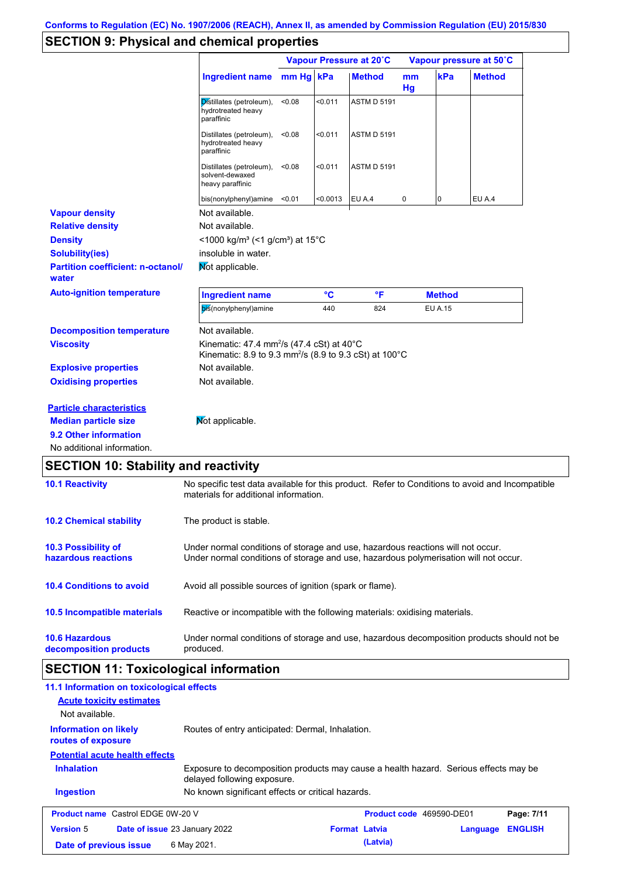## **SECTION 9: Physical and chemical properties**

|                                                   |                                                                                                                                                   | Vapour Pressure at 20°C |          |                    | Vapour pressure at 50°C |                |               |
|---------------------------------------------------|---------------------------------------------------------------------------------------------------------------------------------------------------|-------------------------|----------|--------------------|-------------------------|----------------|---------------|
|                                                   | <b>Ingredient name</b>                                                                                                                            | mm Hg kPa               |          | <b>Method</b>      | <sub>mm</sub><br>Hg     | kPa            | <b>Method</b> |
|                                                   | Distillates (petroleum),<br>hydrotreated heavy<br>paraffinic                                                                                      | < 0.08                  | < 0.011  | <b>ASTM D 5191</b> |                         |                |               |
|                                                   | Distillates (petroleum),<br>hydrotreated heavy<br>paraffinic                                                                                      | < 0.08                  | < 0.011  | <b>ASTM D 5191</b> |                         |                |               |
|                                                   | Distillates (petroleum),<br>solvent-dewaxed<br>heavy paraffinic                                                                                   | < 0.08                  | < 0.011  | <b>ASTM D 5191</b> |                         |                |               |
|                                                   | bis(nonylphenyl)amine                                                                                                                             | < 0.01                  | < 0.0013 | EU A.4             | 0                       | 0              | EU A.4        |
| <b>Vapour density</b>                             | Not available.                                                                                                                                    |                         |          |                    |                         |                |               |
| <b>Relative density</b>                           | Not available.                                                                                                                                    |                         |          |                    |                         |                |               |
| <b>Density</b>                                    | <1000 kg/m <sup>3</sup> (<1 g/cm <sup>3</sup> ) at 15°C                                                                                           |                         |          |                    |                         |                |               |
| <b>Solubility(ies)</b>                            | insoluble in water.                                                                                                                               |                         |          |                    |                         |                |               |
| <b>Partition coefficient: n-octanol/</b><br>water | <b>Not applicable.</b>                                                                                                                            |                         |          |                    |                         |                |               |
| <b>Auto-ignition temperature</b>                  | <b>Ingredient name</b>                                                                                                                            |                         | °C       | °F                 |                         | <b>Method</b>  |               |
|                                                   | bis(nonylphenyl)amine                                                                                                                             |                         | 440      | 824                |                         | <b>EU A.15</b> |               |
| <b>Decomposition temperature</b>                  | Not available.                                                                                                                                    |                         |          |                    |                         |                |               |
| <b>Viscosity</b>                                  | Kinematic: 47.4 mm <sup>2</sup> /s (47.4 cSt) at 40 $^{\circ}$ C<br>Kinematic: 8.9 to 9.3 mm <sup>2</sup> /s (8.9 to 9.3 cSt) at 100 $^{\circ}$ C |                         |          |                    |                         |                |               |
| <b>Explosive properties</b>                       | Not available.                                                                                                                                    |                         |          |                    |                         |                |               |
| <b>Oxidising properties</b>                       | Not available.                                                                                                                                    |                         |          |                    |                         |                |               |
| <b>Particle characteristics</b>                   |                                                                                                                                                   |                         |          |                    |                         |                |               |
| <b>Median particle size</b>                       | Not applicable.                                                                                                                                   |                         |          |                    |                         |                |               |
|                                                   |                                                                                                                                                   |                         |          |                    |                         |                |               |
| 9.2 Other information                             |                                                                                                                                                   |                         |          |                    |                         |                |               |

| <b>10.1 Reactivity</b>                            | No specific test data available for this product. Refer to Conditions to avoid and Incompatible<br>materials for additional information.                                |
|---------------------------------------------------|-------------------------------------------------------------------------------------------------------------------------------------------------------------------------|
| <b>10.2 Chemical stability</b>                    | The product is stable.                                                                                                                                                  |
| <b>10.3 Possibility of</b><br>hazardous reactions | Under normal conditions of storage and use, hazardous reactions will not occur.<br>Under normal conditions of storage and use, hazardous polymerisation will not occur. |
| <b>10.4 Conditions to avoid</b>                   | Avoid all possible sources of ignition (spark or flame).                                                                                                                |
| <b>10.5 Incompatible materials</b>                | Reactive or incompatible with the following materials: oxidising materials.                                                                                             |
| <b>10.6 Hazardous</b><br>decomposition products   | Under normal conditions of storage and use, hazardous decomposition products should not be<br>produced.                                                                 |

# **SECTION 11: Toxicological information**

| 11.1 Information on toxicological effects          |                                                                                                                     |                      |                          |          |                |
|----------------------------------------------------|---------------------------------------------------------------------------------------------------------------------|----------------------|--------------------------|----------|----------------|
| <b>Acute toxicity estimates</b>                    |                                                                                                                     |                      |                          |          |                |
| Not available.                                     |                                                                                                                     |                      |                          |          |                |
| <b>Information on likely</b><br>routes of exposure | Routes of entry anticipated: Dermal, Inhalation.                                                                    |                      |                          |          |                |
| <b>Potential acute health effects</b>              |                                                                                                                     |                      |                          |          |                |
| <b>Inhalation</b>                                  | Exposure to decomposition products may cause a health hazard. Serious effects may be<br>delayed following exposure. |                      |                          |          |                |
| <b>Ingestion</b>                                   | No known significant effects or critical hazards.                                                                   |                      |                          |          |                |
| <b>Product name</b> Castrol EDGE 0W-20 V           |                                                                                                                     |                      | Product code 469590-DE01 |          | Page: 7/11     |
| <b>Version 5</b>                                   | <b>Date of issue 23 January 2022</b>                                                                                | <b>Format Latvia</b> |                          | Language | <b>ENGLISH</b> |
| Date of previous issue                             | 6 May 2021.                                                                                                         |                      | (Latvia)                 |          |                |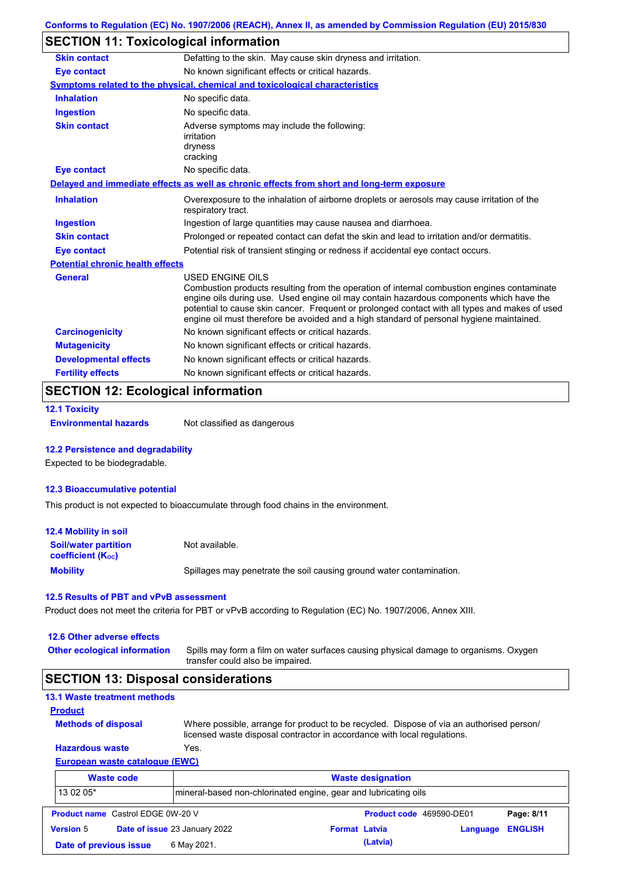## **SECTION 11: Toxicological information**

| Defatting to the skin. May cause skin dryness and irritation.                                                                                                                                                                                                                                                                                                                                                   |
|-----------------------------------------------------------------------------------------------------------------------------------------------------------------------------------------------------------------------------------------------------------------------------------------------------------------------------------------------------------------------------------------------------------------|
| No known significant effects or critical hazards.                                                                                                                                                                                                                                                                                                                                                               |
| <b>Symptoms related to the physical, chemical and toxicological characteristics</b>                                                                                                                                                                                                                                                                                                                             |
| No specific data.                                                                                                                                                                                                                                                                                                                                                                                               |
| No specific data.                                                                                                                                                                                                                                                                                                                                                                                               |
| Adverse symptoms may include the following:<br>irritation<br>dryness<br>cracking                                                                                                                                                                                                                                                                                                                                |
| No specific data.                                                                                                                                                                                                                                                                                                                                                                                               |
| Delayed and immediate effects as well as chronic effects from short and long-term exposure                                                                                                                                                                                                                                                                                                                      |
| Overexposure to the inhalation of airborne droplets or aerosols may cause irritation of the<br>respiratory tract.                                                                                                                                                                                                                                                                                               |
| Ingestion of large quantities may cause nausea and diarrhoea.                                                                                                                                                                                                                                                                                                                                                   |
| Prolonged or repeated contact can defat the skin and lead to irritation and/or dermatitis.                                                                                                                                                                                                                                                                                                                      |
| Potential risk of transient stinging or redness if accidental eye contact occurs.                                                                                                                                                                                                                                                                                                                               |
| <b>Potential chronic health effects</b>                                                                                                                                                                                                                                                                                                                                                                         |
| <b>USED ENGINE OILS</b><br>Combustion products resulting from the operation of internal combustion engines contaminate<br>engine oils during use. Used engine oil may contain hazardous components which have the<br>potential to cause skin cancer. Frequent or prolonged contact with all types and makes of used<br>engine oil must therefore be avoided and a high standard of personal hygiene maintained. |
| No known significant effects or critical hazards.                                                                                                                                                                                                                                                                                                                                                               |
| No known significant effects or critical hazards.                                                                                                                                                                                                                                                                                                                                                               |
|                                                                                                                                                                                                                                                                                                                                                                                                                 |
| No known significant effects or critical hazards.                                                                                                                                                                                                                                                                                                                                                               |
|                                                                                                                                                                                                                                                                                                                                                                                                                 |

### **SECTION 12: Ecological information**

```
12.1 Toxicity
```
**Environmental hazards** Not classified as dangerous

### **12.2 Persistence and degradability**

Expected to be biodegradable.

### **12.3 Bioaccumulative potential**

This product is not expected to bioaccumulate through food chains in the environment.

| <b>12.4 Mobility in soil</b>                            |                                                                      |
|---------------------------------------------------------|----------------------------------------------------------------------|
| <b>Soil/water partition</b><br><b>coefficient (Koc)</b> | Not available.                                                       |
| <b>Mobility</b>                                         | Spillages may penetrate the soil causing ground water contamination. |

#### **12.5 Results of PBT and vPvB assessment**

Product does not meet the criteria for PBT or vPvB according to Regulation (EC) No. 1907/2006, Annex XIII.

### **12.6 Other adverse effects**

**Other ecological information**

Spills may form a film on water surfaces causing physical damage to organisms. Oxygen transfer could also be impaired.

### **SECTION 13: Disposal considerations**

|  | <b>13.1 Waste treatment methods</b> |  |
|--|-------------------------------------|--|
|  |                                     |  |

```
Methods of disposal
Product
```
Where possible, arrange for product to be recycled. Dispose of via an authorised person/ licensed waste disposal contractor in accordance with local regulations.

### **European waste catalogue (EWC) Hazardous waste** Yes.

|                  | <b>Waste code</b>                        |                                                                 | <b>Waste designation</b> |                          |          |                |
|------------------|------------------------------------------|-----------------------------------------------------------------|--------------------------|--------------------------|----------|----------------|
| 13 02 05*        |                                          | mineral-based non-chlorinated engine, gear and lubricating oils |                          |                          |          |                |
|                  | <b>Product name</b> Castrol EDGE 0W-20 V |                                                                 |                          | Product code 469590-DE01 |          | Page: 8/11     |
| <b>Version 5</b> |                                          | Date of issue 23 January 2022                                   | <b>Format Latvia</b>     |                          | Language | <b>ENGLISH</b> |
|                  | Date of previous issue                   | 6 May 2021.                                                     |                          | (Latvia)                 |          |                |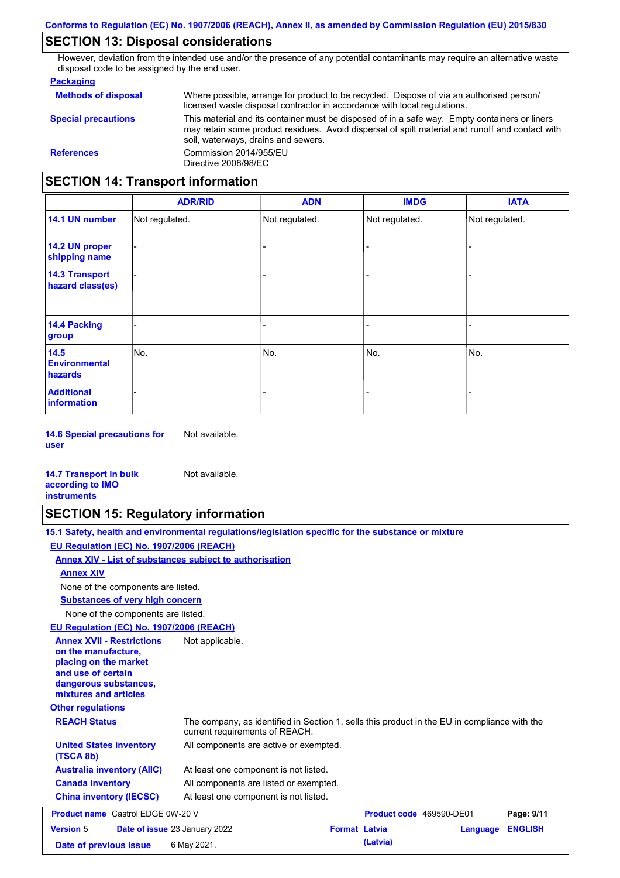## **SECTION 13: Disposal considerations**

However, deviation from the intended use and/or the presence of any potential contaminants may require an alternative waste disposal code to be assigned by the end user.

### **Packaging**

| <b>Methods of disposal</b>               | Where possible, arrange for product to be recycled. Dispose of via an authorised person/<br>licensed waste disposal contractor in accordance with local regulations.                                                                    |  |  |  |
|------------------------------------------|-----------------------------------------------------------------------------------------------------------------------------------------------------------------------------------------------------------------------------------------|--|--|--|
| <b>Special precautions</b>               | This material and its container must be disposed of in a safe way. Empty containers or liners<br>may retain some product residues. Avoid dispersal of spilt material and runoff and contact with<br>soil, waterways, drains and sewers. |  |  |  |
| <b>References</b>                        | Commission 2014/955/EU<br>Directive 2008/98/EC                                                                                                                                                                                          |  |  |  |
| <b>SECTION 14: Transport information</b> |                                                                                                                                                                                                                                         |  |  |  |

#### - - - - - - - - - Not regulated. Not regulated. Not regulated. - - - **ADR/RID IMDG IATA 14.1 UN number 14.2 UN proper shipping name 14.3 Transport hazard class(es) 14.4 Packing group ADN Additional information 14.5 Environmental hazards** No. 1980 | No. 1980 | No. 1980 | No. 1980 | No. 1980 | No. 1980 | No. 1980 | No. 1980 | No. 1980 | No. 1980 | Not regulated. - No. - -

**14.6 Special precautions for user** Not available.

### **14.7 Transport in bulk according to IMO instruments**

## **SECTION 15: Regulatory information**

Not available.

| 15.1 Safety, health and environmental regulations/legislation specific for the substance or mixture                                                                         |  |
|-----------------------------------------------------------------------------------------------------------------------------------------------------------------------------|--|
| EU Regulation (EC) No. 1907/2006 (REACH)                                                                                                                                    |  |
| Annex XIV - List of substances subject to authorisation                                                                                                                     |  |
| <b>Annex XIV</b>                                                                                                                                                            |  |
| None of the components are listed.                                                                                                                                          |  |
| <b>Substances of very high concern</b>                                                                                                                                      |  |
| None of the components are listed.                                                                                                                                          |  |
| EU Regulation (EC) No. 1907/2006 (REACH)                                                                                                                                    |  |
| <b>Annex XVII - Restrictions</b><br>Not applicable.<br>on the manufacture.<br>placing on the market<br>and use of certain<br>dangerous substances,<br>mixtures and articles |  |
| <b>Other regulations</b>                                                                                                                                                    |  |

| <b>REACH Status</b><br><b>United States inventory</b> | The company, as identified in Section 1, sells this product in the EU in compliance with the<br>current requirements of REACH.<br>All components are active or exempted. |
|-------------------------------------------------------|--------------------------------------------------------------------------------------------------------------------------------------------------------------------------|
| (TSCA 8b)<br><b>Australia inventory (AIIC)</b>        | At least one component is not listed.                                                                                                                                    |
| <b>Canada inventory</b>                               | All components are listed or exempted.                                                                                                                                   |
| <b>China inventory (IECSC)</b>                        | At least one component is not listed.                                                                                                                                    |

| <b>Product name</b> Castrol EDGE 0W-20 V |  |                                      | <b>Product code</b> 469590-DE01 |          | Page: 9/11       |  |
|------------------------------------------|--|--------------------------------------|---------------------------------|----------|------------------|--|
| <b>Version 5</b>                         |  | <b>Date of issue 23 January 2022</b> | <b>Format Latvia</b>            |          | Language ENGLISH |  |
| Date of previous issue                   |  | 6 May 2021.                          |                                 | (Latvia) |                  |  |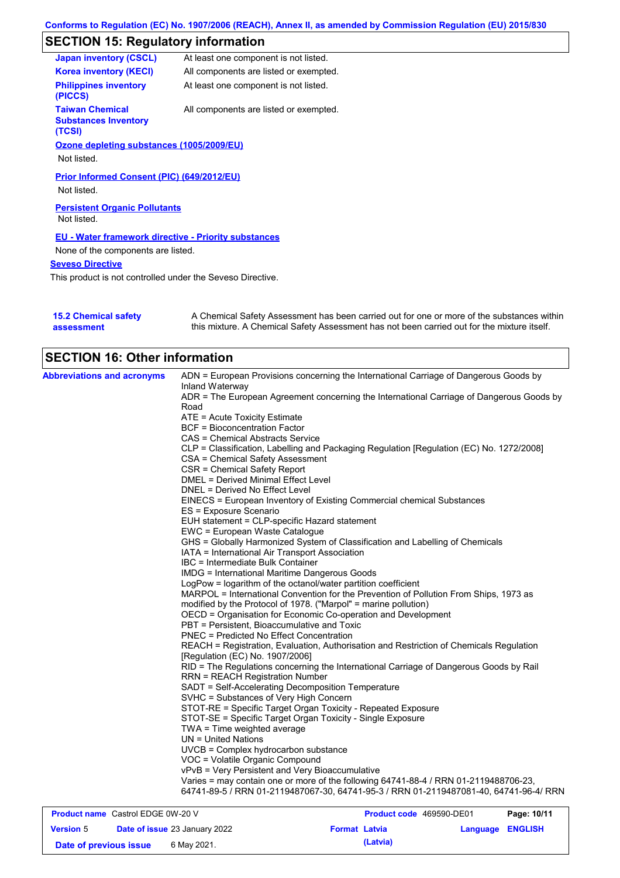## **SECTION 15: Regulatory information**

| <b>Japan inventory (CSCL)</b>                                   | At least one component is not listed.  |
|-----------------------------------------------------------------|----------------------------------------|
| <b>Korea inventory (KECI)</b>                                   | All components are listed or exempted. |
| <b>Philippines inventory</b><br>(PICCS)                         | At least one component is not listed.  |
| <b>Taiwan Chemical</b><br><b>Substances Inventory</b><br>(TCSI) | All components are listed or exempted. |
| Ozone depleting substances (1005/2009/EU)                       |                                        |
| Not listed.                                                     |                                        |
| Prior Informed Consent (PIC) (649/2012/EU)                      |                                        |
| Not listed.                                                     |                                        |
| <b>Persistent Organic Pollutants</b><br>Not listed.             |                                        |
| <b>EU - Water framework directive - Priority substances</b>     |                                        |
| None of the components are listed.                              |                                        |
| <b>Seveso Directive</b>                                         |                                        |
|                                                                 |                                        |

This product is not controlled under the Seveso Directive.

| <b>15.2 Chemical safety</b> | A Chemical Safety Assessment has been carried out for one or more of the substances within  |
|-----------------------------|---------------------------------------------------------------------------------------------|
| assessment                  | this mixture. A Chemical Safety Assessment has not been carried out for the mixture itself. |

| <b>SECTION 16: Other information</b>     |                                                                                                          |
|------------------------------------------|----------------------------------------------------------------------------------------------------------|
| <b>Abbreviations and acronyms</b>        | ADN = European Provisions concerning the International Carriage of Dangerous Goods by<br>Inland Waterway |
|                                          | ADR = The European Agreement concerning the International Carriage of Dangerous Goods by                 |
|                                          | Road                                                                                                     |
|                                          | ATE = Acute Toxicity Estimate                                                                            |
|                                          | <b>BCF</b> = Bioconcentration Factor                                                                     |
|                                          | CAS = Chemical Abstracts Service                                                                         |
|                                          | CLP = Classification, Labelling and Packaging Regulation [Regulation (EC) No. 1272/2008]                 |
|                                          | CSA = Chemical Safety Assessment                                                                         |
|                                          | CSR = Chemical Safety Report                                                                             |
|                                          | DMEL = Derived Minimal Effect Level                                                                      |
|                                          | DNEL = Derived No Effect Level                                                                           |
|                                          |                                                                                                          |
|                                          | EINECS = European Inventory of Existing Commercial chemical Substances                                   |
|                                          | ES = Exposure Scenario                                                                                   |
|                                          | EUH statement = CLP-specific Hazard statement                                                            |
|                                          | EWC = European Waste Catalogue                                                                           |
|                                          | GHS = Globally Harmonized System of Classification and Labelling of Chemicals                            |
|                                          | IATA = International Air Transport Association                                                           |
|                                          | IBC = Intermediate Bulk Container                                                                        |
|                                          | <b>IMDG</b> = International Maritime Dangerous Goods                                                     |
|                                          | LogPow = logarithm of the octanol/water partition coefficient                                            |
|                                          | MARPOL = International Convention for the Prevention of Pollution From Ships, 1973 as                    |
|                                          | modified by the Protocol of 1978. ("Marpol" = marine pollution)                                          |
|                                          | OECD = Organisation for Economic Co-operation and Development                                            |
|                                          | PBT = Persistent, Bioaccumulative and Toxic                                                              |
|                                          | PNEC = Predicted No Effect Concentration                                                                 |
|                                          | REACH = Registration, Evaluation, Authorisation and Restriction of Chemicals Regulation                  |
|                                          | [Regulation (EC) No. 1907/2006]                                                                          |
|                                          | RID = The Regulations concerning the International Carriage of Dangerous Goods by Rail                   |
|                                          | <b>RRN = REACH Registration Number</b>                                                                   |
|                                          | SADT = Self-Accelerating Decomposition Temperature                                                       |
|                                          | SVHC = Substances of Very High Concern                                                                   |
|                                          | STOT-RE = Specific Target Organ Toxicity - Repeated Exposure                                             |
|                                          | STOT-SE = Specific Target Organ Toxicity - Single Exposure                                               |
|                                          | $TWA = Time weighted average$                                                                            |
|                                          | UN = United Nations                                                                                      |
|                                          | UVCB = Complex hydrocarbon substance                                                                     |
|                                          | VOC = Volatile Organic Compound                                                                          |
|                                          | vPvB = Very Persistent and Very Bioaccumulative                                                          |
|                                          | Varies = may contain one or more of the following 64741-88-4 / RRN 01-2119488706-23,                     |
|                                          | 64741-89-5 / RRN 01-2119487067-30, 64741-95-3 / RRN 01-2119487081-40, 64741-96-4/ RRN                    |
|                                          |                                                                                                          |
| <b>Product name</b> Castrol EDGE 0W-20 V | <b>Product code</b> 469590-DF01<br>Page: 10/11                                                           |

| <b>Product name</b> Castrol EDGE 0W-20 V |  |                                      | <b>Product code</b> 469590-DE01 | Page: 10/11 |                         |  |
|------------------------------------------|--|--------------------------------------|---------------------------------|-------------|-------------------------|--|
| <b>Version 5</b>                         |  | <b>Date of issue 23 January 2022</b> | <b>Format Latvia</b>            |             | <b>Language ENGLISH</b> |  |
| 6 May 2021.<br>Date of previous issue    |  |                                      |                                 | (Latvia)    |                         |  |